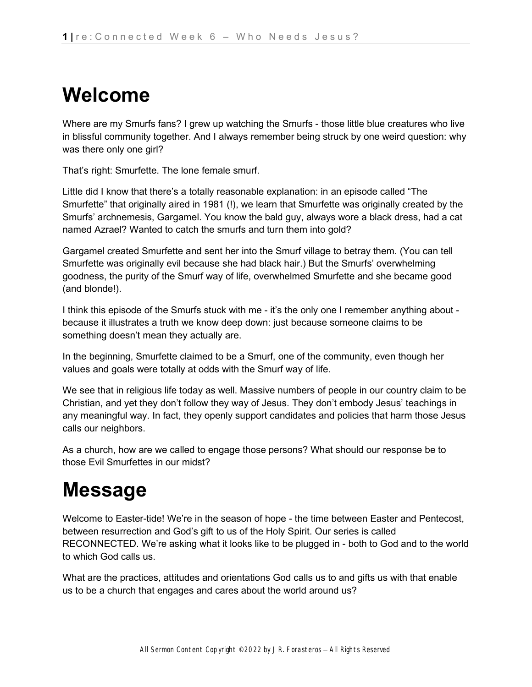# **Welcome**

Where are my Smurfs fans? I grew up watching the Smurfs - those little blue creatures who live in blissful community together. And I always remember being struck by one weird question: why was there only one girl?

That's right: Smurfette. The lone female smurf.

Little did I know that there's a totally reasonable explanation: in an episode called "The Smurfette" that originally aired in 1981 (!), we learn that Smurfette was originally created by the Smurfs' archnemesis, Gargamel. You know the bald guy, always wore a black dress, had a cat named Azrael? Wanted to catch the smurfs and turn them into gold?

Gargamel created Smurfette and sent her into the Smurf village to betray them. (You can tell Smurfette was originally evil because she had black hair.) But the Smurfs' overwhelming goodness, the purity of the Smurf way of life, overwhelmed Smurfette and she became good (and blonde!).

I think this episode of the Smurfs stuck with me - it's the only one I remember anything about because it illustrates a truth we know deep down: just because someone claims to be something doesn't mean they actually are.

In the beginning, Smurfette claimed to be a Smurf, one of the community, even though her values and goals were totally at odds with the Smurf way of life.

We see that in religious life today as well. Massive numbers of people in our country claim to be Christian, and yet they don't follow they way of Jesus. They don't embody Jesus' teachings in any meaningful way. In fact, they openly support candidates and policies that harm those Jesus calls our neighbors.

As a church, how are we called to engage those persons? What should our response be to those Evil Smurfettes in our midst?

# **Message**

Welcome to Easter-tide! We're in the season of hope - the time between Easter and Pentecost, between resurrection and God's gift to us of the Holy Spirit. Our series is called RECONNECTED. We're asking what it looks like to be plugged in - both to God and to the world to which God calls us.

What are the practices, attitudes and orientations God calls us to and gifts us with that enable us to be a church that engages and cares about the world around us?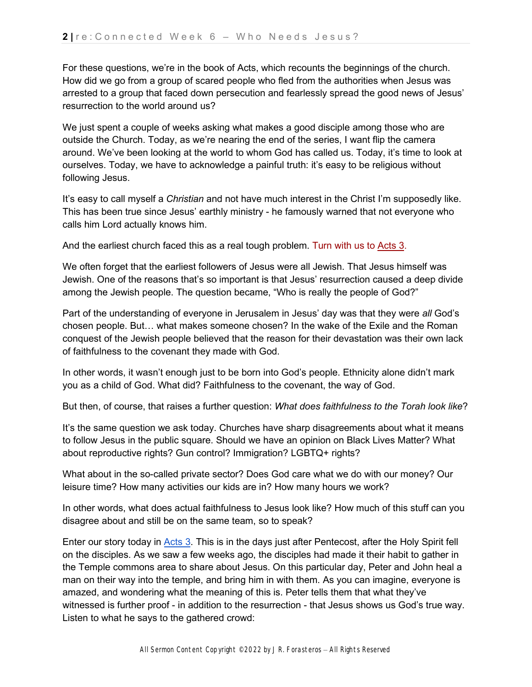For these questions, we're in the book of Acts, which recounts the beginnings of the church. How did we go from a group of scared people who fled from the authorities when Jesus was arrested to a group that faced down persecution and fearlessly spread the good news of Jesus' resurrection to the world around us?

We just spent a couple of weeks asking what makes a good disciple among those who are outside the Church. Today, as we're nearing the end of the series, I want flip the camera around. We've been looking at the world to whom God has called us. Today, it's time to look at ourselves. Today, we have to acknowledge a painful truth: it's easy to be religious without following Jesus.

It's easy to call myself a *Christian* and not have much interest in the Christ I'm supposedly like. This has been true since Jesus' earthly ministry - he famously warned that not everyone who calls him Lord actually knows him.

And the earliest church faced this as a real t[o](https://ref.ly/logosref/bible$2Bnlt.65.3)ugh problem. Turn with us to [Acts 3.](https://ref.ly/logosref/bible$2Bnlt.65.3)

We often forget that the earliest followers of Jesus were all Jewish. That Jesus himself was Jewish. One of the reasons that's so important is that Jesus' resurrection caused a deep divide among the Jewish people. The question became, "Who is really the people of God?"

Part of the understanding of everyone in Jerusalem in Jesus' day was that they were *all* God's chosen people. But… what makes someone chosen? In the wake of the Exile and the Roman conquest of the Jewish people believed that the reason for their devastation was their own lack of faithfulness to the covenant they made with God.

In other words, it wasn't enough just to be born into God's people. Ethnicity alone didn't mark you as a child of God. What did? Faithfulness to the covenant, the way of God.

But then, of course, that raises a further question: *What does faithfulness to the Torah look like*?

It's the same question we ask today. Churches have sharp disagreements about what it means to follow Jesus in the public square. Should we have an opinion on Black Lives Matter? What about reproductive rights? Gun control? Immigration? LGBTQ+ rights?

What about in the so-called private sector? Does God care what we do with our money? Our leisure time? How many activities our kids are in? How many hours we work?

In other words, what does actual faithfulness to Jesus look like? How much of this stuff can you disagree about and still be on the same team, so to speak?

Enter our story today i[n](https://ref.ly/logosref/bible$2Bnlt.65.3) [Acts 3.](https://ref.ly/logosref/bible$2Bnlt.65.3) This is in the days just after Pentecost, after the Holy Spirit fell on the disciples. As we saw a few weeks ago, the disciples had made it their habit to gather in the Temple commons area to share about Jesus. On this particular day, Peter and John heal a man on their way into the temple, and bring him in with them. As you can imagine, everyone is amazed, and wondering what the meaning of this is. Peter tells them that what they've witnessed is further proof - in addition to the resurrection - that Jesus shows us God's true way. Listen to what he says to the gathered crowd: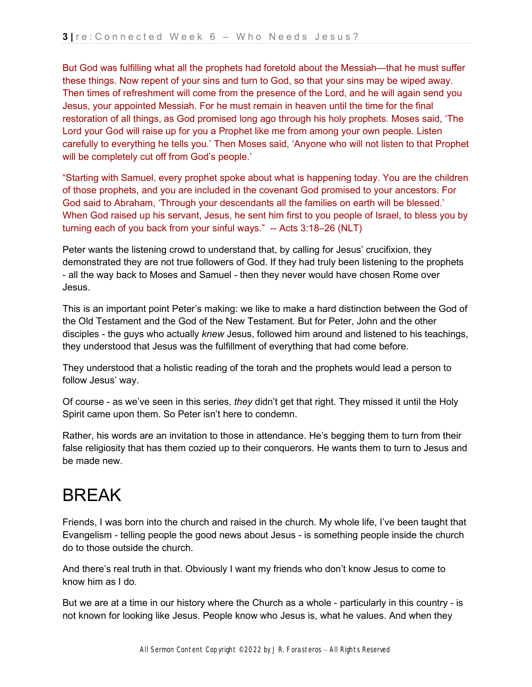But God was fulfilling what all the prophets had foretold about the Messiah—that he must suffer these things. Now repent of your sins and turn to God, so that your sins may be wiped away. Then times of refreshment will come from the presence of the Lord, and he will again send you Jesus, your appointed Messiah. For he must remain in heaven until the time for the final restoration of all things, as God promised long ago through his holy prophets. Moses said, 'The Lord your God will raise up for you a Prophet like me from among your own people. Listen carefully to everything he tells you.' Then Moses said, 'Anyone who will not listen to that Prophet will be completely cut off from God's people.'

"Starting with Samuel, every prophet spoke about what is happening today. You are the children of those prophets, and you are included in the covenant God promised to your ancestors. For God said to Abraham, 'Through your descendants all the families on earth will be blessed.' When God raised up his servant, Jesus, he sent him first to you people of Israel, to bless you by turning each of you back from your sinful ways." -- Acts 3:18–26 (NLT)

Peter wants the listening crowd to understand that, by calling for Jesus' crucifixion, they demonstrated they are not true followers of God. If they had truly been listening to the prophets - all the way back to Moses and Samuel - then they never would have chosen Rome over Jesus.

This is an important point Peter's making: we like to make a hard distinction between the God of the Old Testament and the God of the New Testament. But for Peter, John and the other disciples - the guys who actually *knew* Jesus, followed him around and listened to his teachings, they understood that Jesus was the fulfillment of everything that had come before.

They understood that a holistic reading of the torah and the prophets would lead a person to follow Jesus' way.

Of course - as we've seen in this series, *they* didn't get that right. They missed it until the Holy Spirit came upon them. So Peter isn't here to condemn.

Rather, his words are an invitation to those in attendance. He's begging them to turn from their false religiosity that has them cozied up to their conquerors. He wants them to turn to Jesus and be made new.

### BREAK

Friends, I was born into the church and raised in the church. My whole life, I've been taught that Evangelism - telling people the good news about Jesus - is something people inside the church do to those outside the church.

And there's real truth in that. Obviously I want my friends who don't know Jesus to come to know him as I do.

But we are at a time in our history where the Church as a whole - particularly in this country - is not known for looking like Jesus. People know who Jesus is, what he values. And when they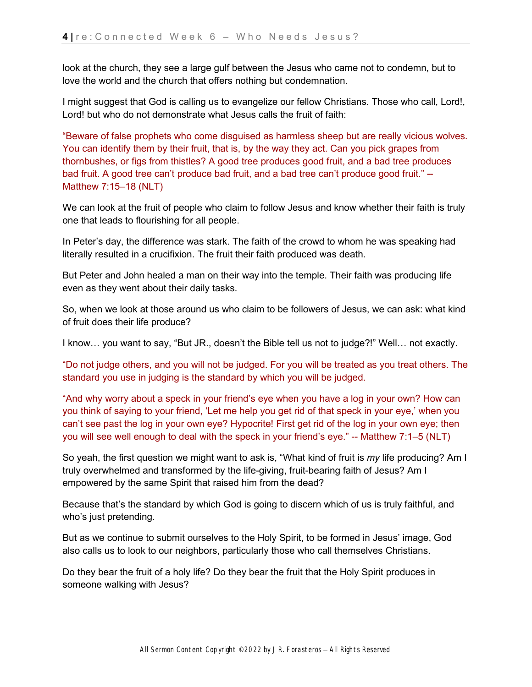look at the church, they see a large gulf between the Jesus who came not to condemn, but to love the world and the church that offers nothing but condemnation.

I might suggest that God is calling us to evangelize our fellow Christians. Those who call, Lord!, Lord! but who do not demonstrate what Jesus calls the fruit of faith:

"Beware of false prophets who come disguised as harmless sheep but are really vicious wolves. You can identify them by their fruit, that is, by the way they act. Can you pick grapes from thornbushes, or figs from thistles? A good tree produces good fruit, and a bad tree produces bad fruit. A good tree can't produce bad fruit, and a bad tree can't produce good fruit." --Matthew 7:15–18 (NLT)

We can look at the fruit of people who claim to follow Jesus and know whether their faith is truly one that leads to flourishing for all people.

In Peter's day, the difference was stark. The faith of the crowd to whom he was speaking had literally resulted in a crucifixion. The fruit their faith produced was death.

But Peter and John healed a man on their way into the temple. Their faith was producing life even as they went about their daily tasks.

So, when we look at those around us who claim to be followers of Jesus, we can ask: what kind of fruit does their life produce?

I know… you want to say, "But JR., doesn't the Bible tell us not to judge?!" Well… not exactly.

"Do not judge others, and you will not be judged. For you will be treated as you treat others. The standard you use in judging is the standard by which you will be judged.

"And why worry about a speck in your friend's eye when you have a log in your own? How can you think of saying to your friend, 'Let me help you get rid of that speck in your eye,' when you can't see past the log in your own eye? Hypocrite! First get rid of the log in your own eye; then you will see well enough to deal with the speck in your friend's eye." -- Matthew 7:1–5 (NLT)

So yeah, the first question we might want to ask is, "What kind of fruit is *my* life producing? Am I truly overwhelmed and transformed by the life-giving, fruit-bearing faith of Jesus? Am I empowered by the same Spirit that raised him from the dead?

Because that's the standard by which God is going to discern which of us is truly faithful, and who's just pretending.

But as we continue to submit ourselves to the Holy Spirit, to be formed in Jesus' image, God also calls us to look to our neighbors, particularly those who call themselves Christians.

Do they bear the fruit of a holy life? Do they bear the fruit that the Holy Spirit produces in someone walking with Jesus?